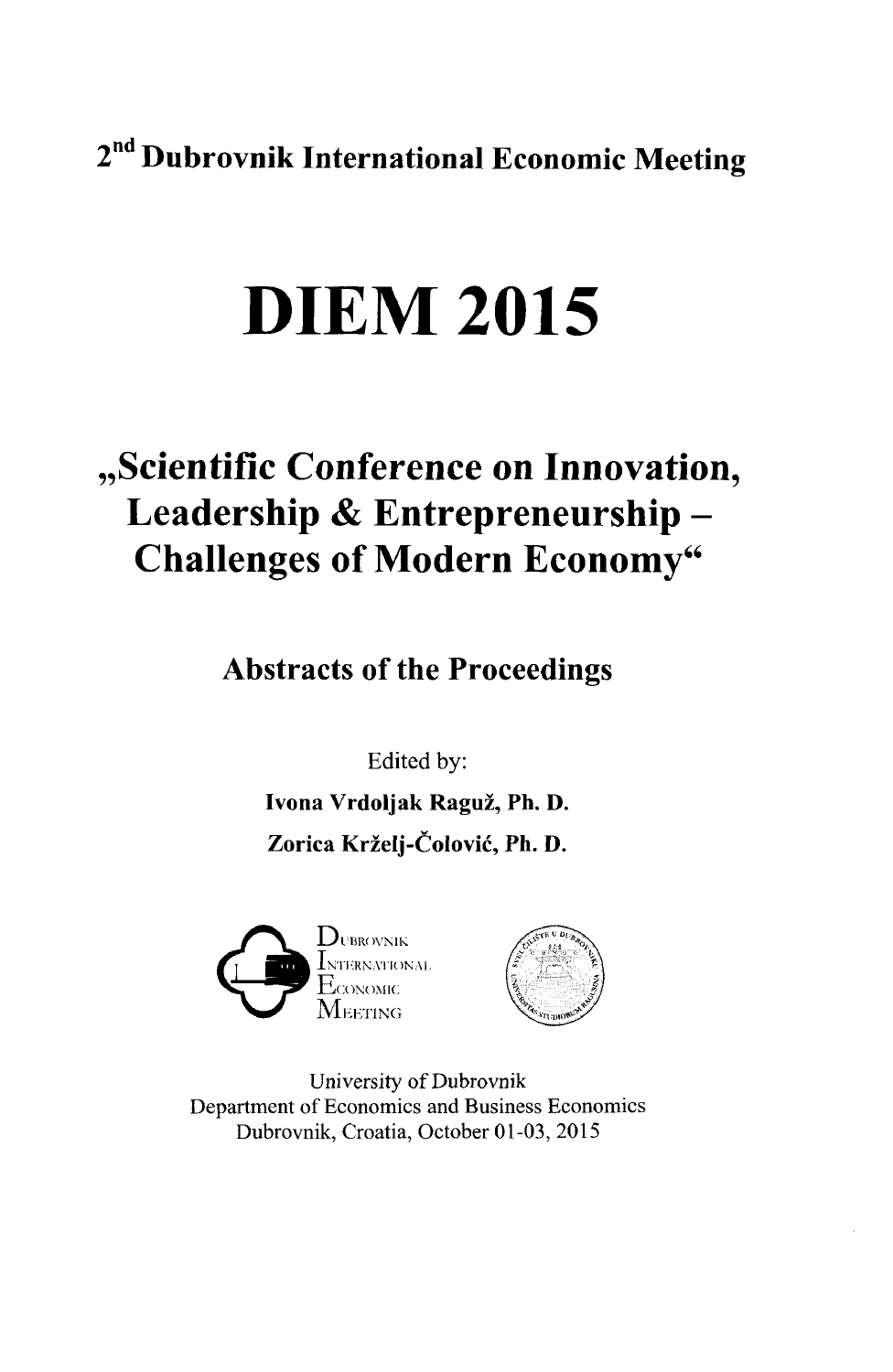2<sup>nd</sup> Dubrovnik International Economic Meeting

# DIEM 2015

# "Scientific Conference on Innovation, Leadership & Entrepreneurship -Challenges of Modern Economy"

Abstracts of the Proceedings

Edited by:

Ivona Vrdoljak Raguz, Ph. D. Zorica Krželj-Čolović, Ph. D.





University of Dubrovnik Department of Economics and Business Economics Dubrovnik, Croatia, October 01-03, 2015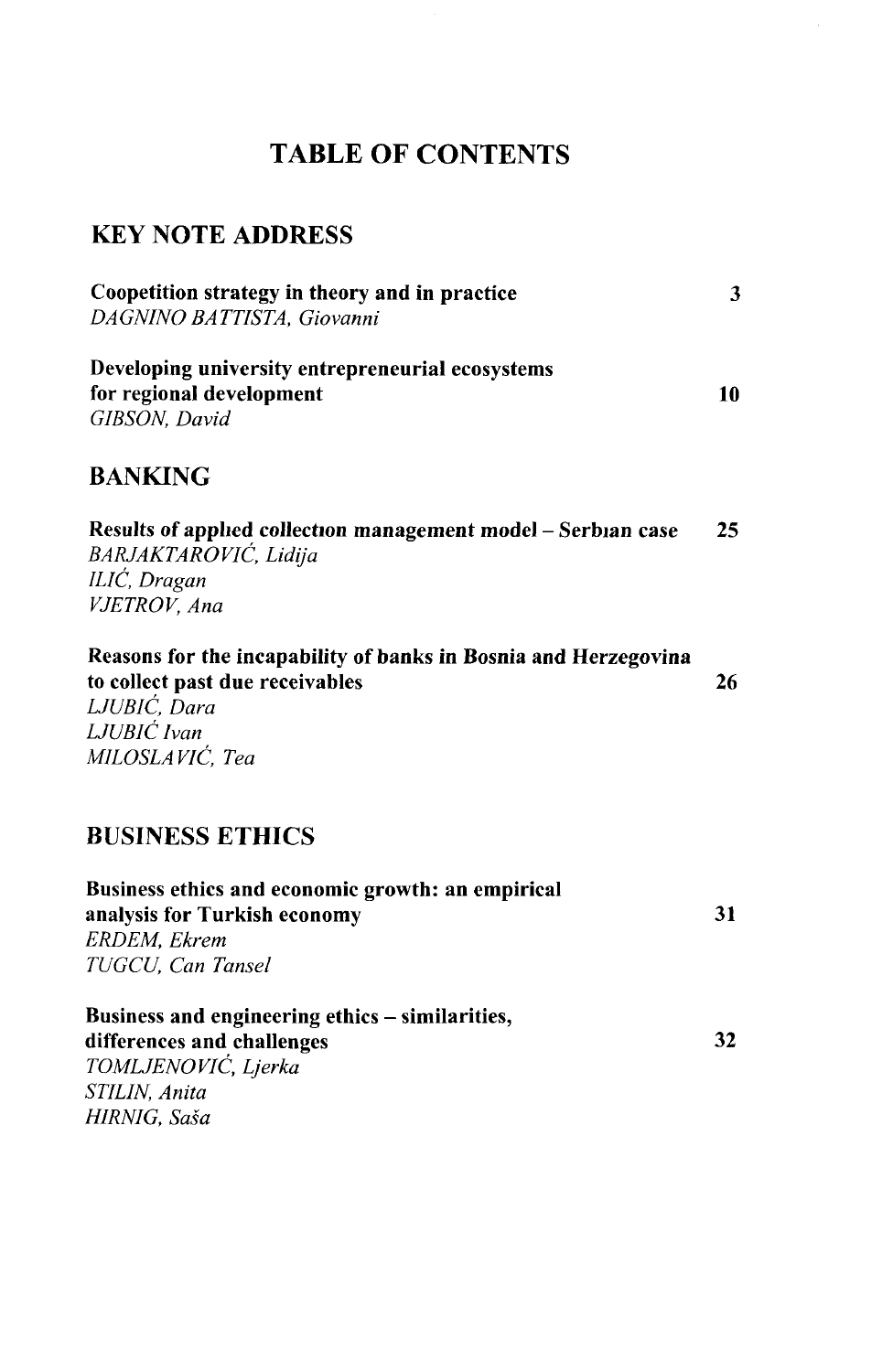# TABLE OF CONTENTS

#### KEY NOTE ADDRESS

| Coopetition strategy in theory and in practice<br>DAGNINO BATTISTA, Giovanni                                                                         | 3  |
|------------------------------------------------------------------------------------------------------------------------------------------------------|----|
| Developing university entrepreneurial ecosystems<br>for regional development<br>GIBSON, David                                                        | 10 |
| <b>BANKING</b>                                                                                                                                       |    |
| Results of applied collection management model - Serbian case<br>BARJAKTAROVIĆ, Lidija<br>ILIĆ, Dragan<br>VJETROV, Ana                               | 25 |
| Reasons for the incapability of banks in Bosnia and Herzegovina<br>to collect past due receivables<br>LJUBIĆ, Dara<br>LJUBIĆ Ivan<br>MILOSLAVIĆ, Tea | 26 |
| <b>BUSINESS ETHICS</b>                                                                                                                               |    |
| Business ethics and economic growth: an empirical<br>analysis for Turkish economy<br><b>ERDEM, Ekrem</b><br>TUGCU, Can Tansel                        | 31 |
| Business and engineering ethics - similarities,<br>differences and challenges<br>TOMLJENOVIĆ, Ljerka<br>STILIN, Anita<br>HIRNIG, Saša                | 32 |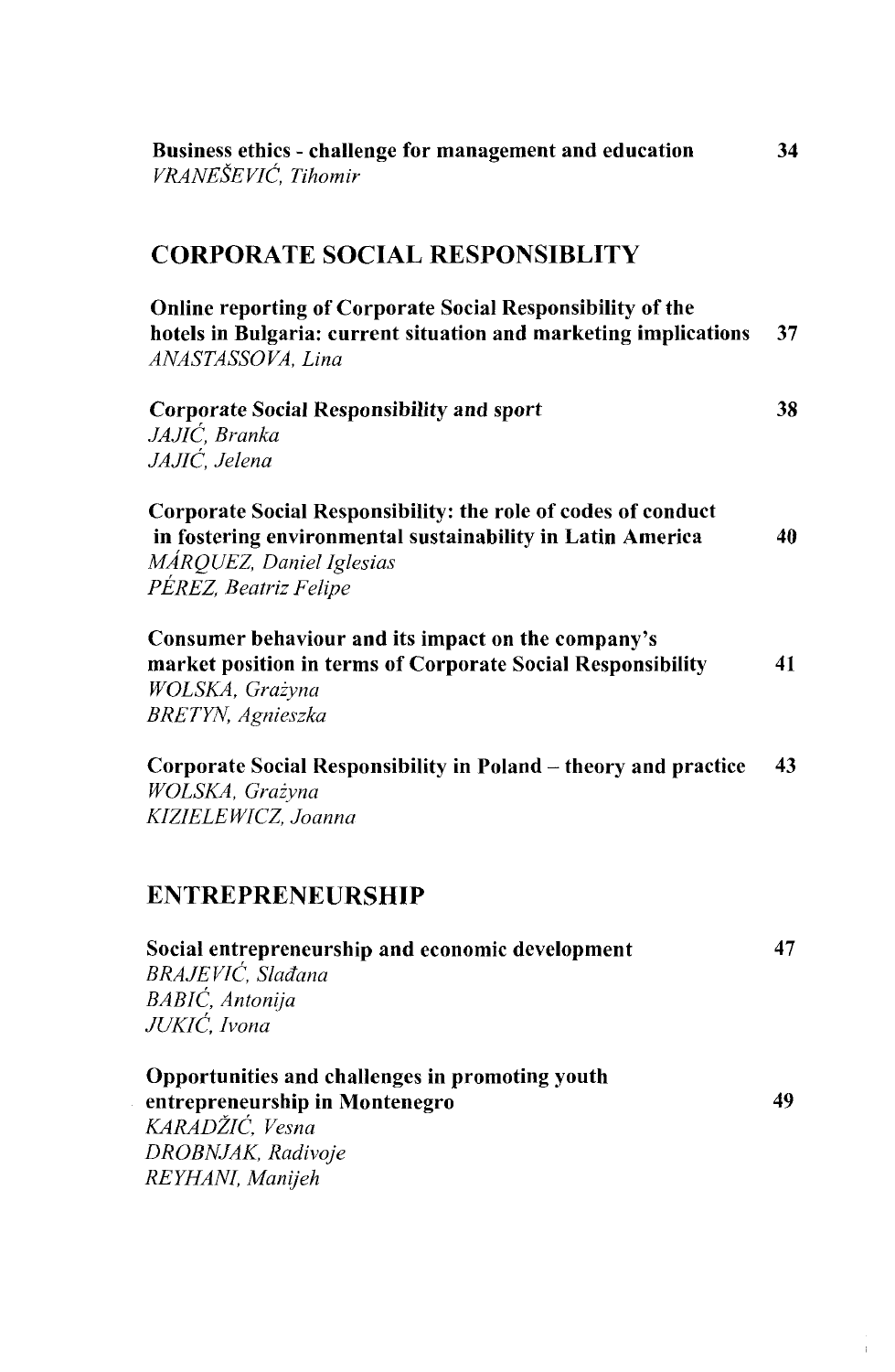| Business ethics - challenge for management and education<br>VRANEŠEVIĆ, Tihomir                                                                                                  | 34 |
|----------------------------------------------------------------------------------------------------------------------------------------------------------------------------------|----|
| <b>CORPORATE SOCIAL RESPONSIBLITY</b>                                                                                                                                            |    |
| Online reporting of Corporate Social Responsibility of the<br>hotels in Bulgaria: current situation and marketing implications<br>ANASTASSOVA, Lina                              | 37 |
| <b>Corporate Social Responsibility and sport</b><br>JAJIĆ, Branka<br>JAJIĆ, Jelena                                                                                               | 38 |
| Corporate Social Responsibility: the role of codes of conduct<br>in fostering environmental sustainability in Latin America<br>MÁROUEZ, Daniel Iglesias<br>PÉREZ, Beatriz Felipe | 40 |
| Consumer behaviour and its impact on the company's<br>market position in terms of Corporate Social Responsibility<br>WOLSKA, Grażyna<br><b>BRETYN</b> , Agnieszka                | 41 |
| Corporate Social Responsibility in Poland - theory and practice<br>WOLSKA, Grażyna<br>KIZIELEWICZ, Joanna                                                                        | 43 |
| <b>ENTREPRENEURSHIP</b>                                                                                                                                                          |    |
| Social entrepreneurship and economic development<br>BRAJEVIĆ, Slađana<br>BABIĆ, Antonija<br>JUKIĆ, Ivona                                                                         | 47 |
| Opportunities and challenges in promoting youth<br>entrepreneurship in Montenegro<br>KARADŽIĆ, Vesna<br>DROBNJAK, Radivoje<br>REYHANI, Manijeh                                   | 49 |

 $\frac{1}{4}$  .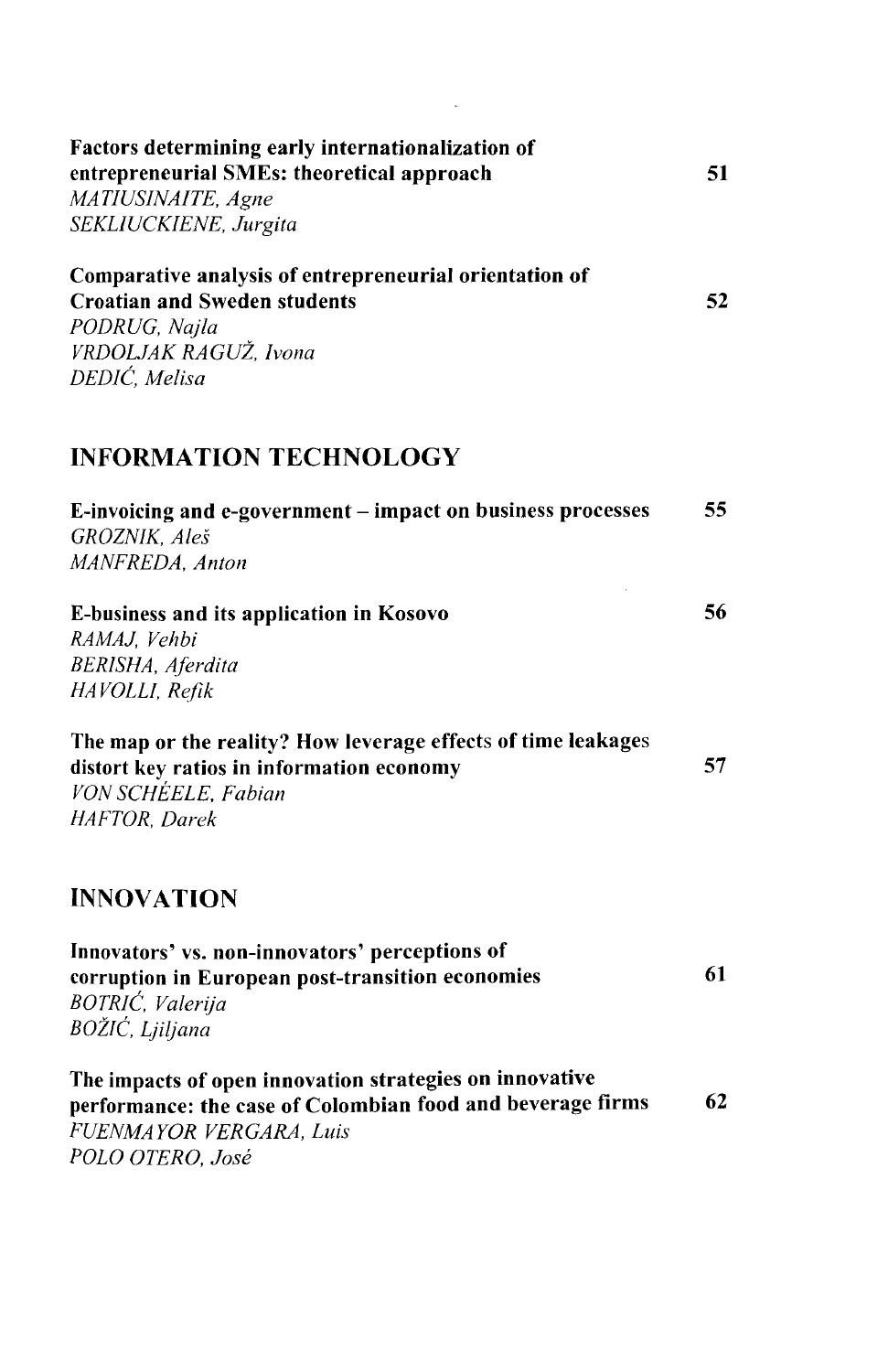| Factors determining early internationalization of<br>entrepreneurial SMEs: theoretical approach<br>MATIUSINAITE, Agne<br>SEKLIUCKIENE, Jurgita                       | 51 |
|----------------------------------------------------------------------------------------------------------------------------------------------------------------------|----|
| Comparative analysis of entrepreneurial orientation of<br><b>Croatian and Sweden students</b><br>PODRUG, Najla<br>VRDOLJAK RAGUŽ, Ivona<br>DEDIĆ, Melisa             | 52 |
| <b>INFORMATION TECHNOLOGY</b>                                                                                                                                        |    |
| E-invoicing and e-government - impact on business processes<br>GROZNIK, Aleš<br>MANFREDA, Anton                                                                      | 55 |
| <b>E-business and its application in Kosovo</b><br>RAMAJ, Vehbi<br>BERISHA, Aferdita<br>HAVOLLI, Refik                                                               | 56 |
| The map or the reality? How leverage effects of time leakages<br>distort key ratios in information economy<br>VON SCHÉELE, Fabian<br>HAFTOR, Darek                   | 57 |
| <b>INNOVATION</b>                                                                                                                                                    |    |
| Innovators' vs. non-innovators' perceptions of<br>corruption in European post-transition economies<br>BOTRIĆ, Valerija<br>BOŽIĆ, Ljiljana                            | 61 |
| The impacts of open innovation strategies on innovative<br>performance: the case of Colombian food and beverage firms<br>FUENMAYOR VERGARA, Luis<br>POLO OTERO, José | 62 |

 $\mathcal{L}^{\text{max}}_{\text{max}}$  . The  $\mathcal{L}^{\text{max}}_{\text{max}}$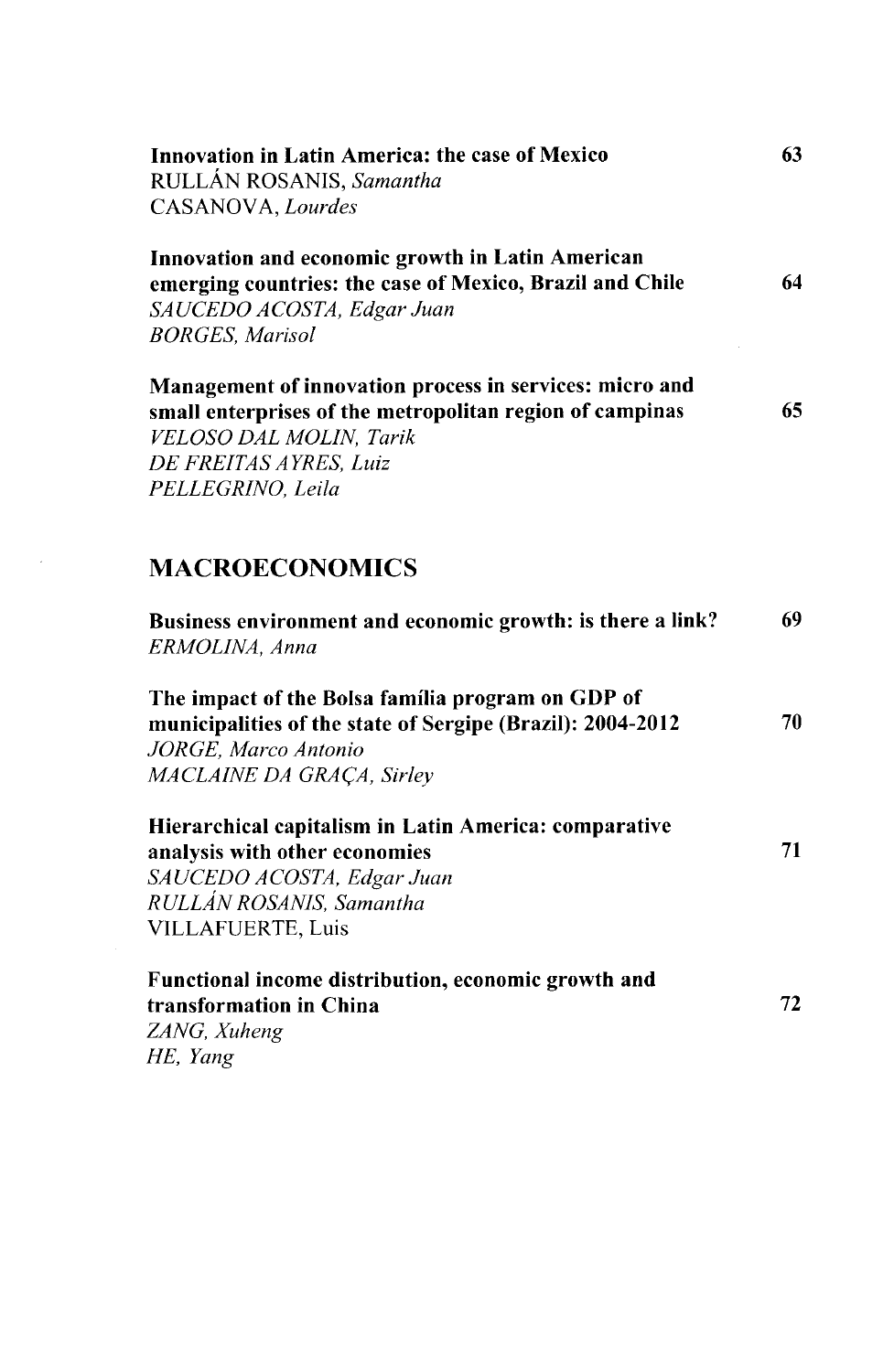| Innovation in Latin America: the case of Mexico<br>RULLÁN ROSANIS, Samantha<br>CASANOVA, Lourdes                                                                                              | 63 |
|-----------------------------------------------------------------------------------------------------------------------------------------------------------------------------------------------|----|
| Innovation and economic growth in Latin American<br>emerging countries: the case of Mexico, Brazil and Chile<br>SAUCEDO ACOSTA, Edgar Juan<br><b>BORGES, Marisol</b>                          | 64 |
| Management of innovation process in services: micro and<br>small enterprises of the metropolitan region of campinas<br>VELOSO DAL MOLIN, Tarik<br>DE FREITAS AYRES, Luiz<br>PELLEGRINO, Leila | 65 |
| <b>MACROECONOMICS</b>                                                                                                                                                                         |    |
| Business environment and economic growth: is there a link?<br>ERMOLINA, Anna                                                                                                                  | 69 |
| The impact of the Bolsa familia program on GDP of<br>municipalities of the state of Sergipe (Brazil): 2004-2012<br>JORGE, Marco Antonio<br>MACLAINE DA GRAÇA, Sirley                          | 70 |
| Hierarchical capitalism in Latin America: comparative<br>analysis with other economies<br>SAUCEDO ACOSTA, Edgar Juan<br>RULLÁN ROSANIS, Samantha<br>VILLAFUERTE, Luis                         | 71 |
| Functional income distribution, economic growth and<br>transformation in China<br>ZANG, Xuheng<br>HE, Yang                                                                                    | 72 |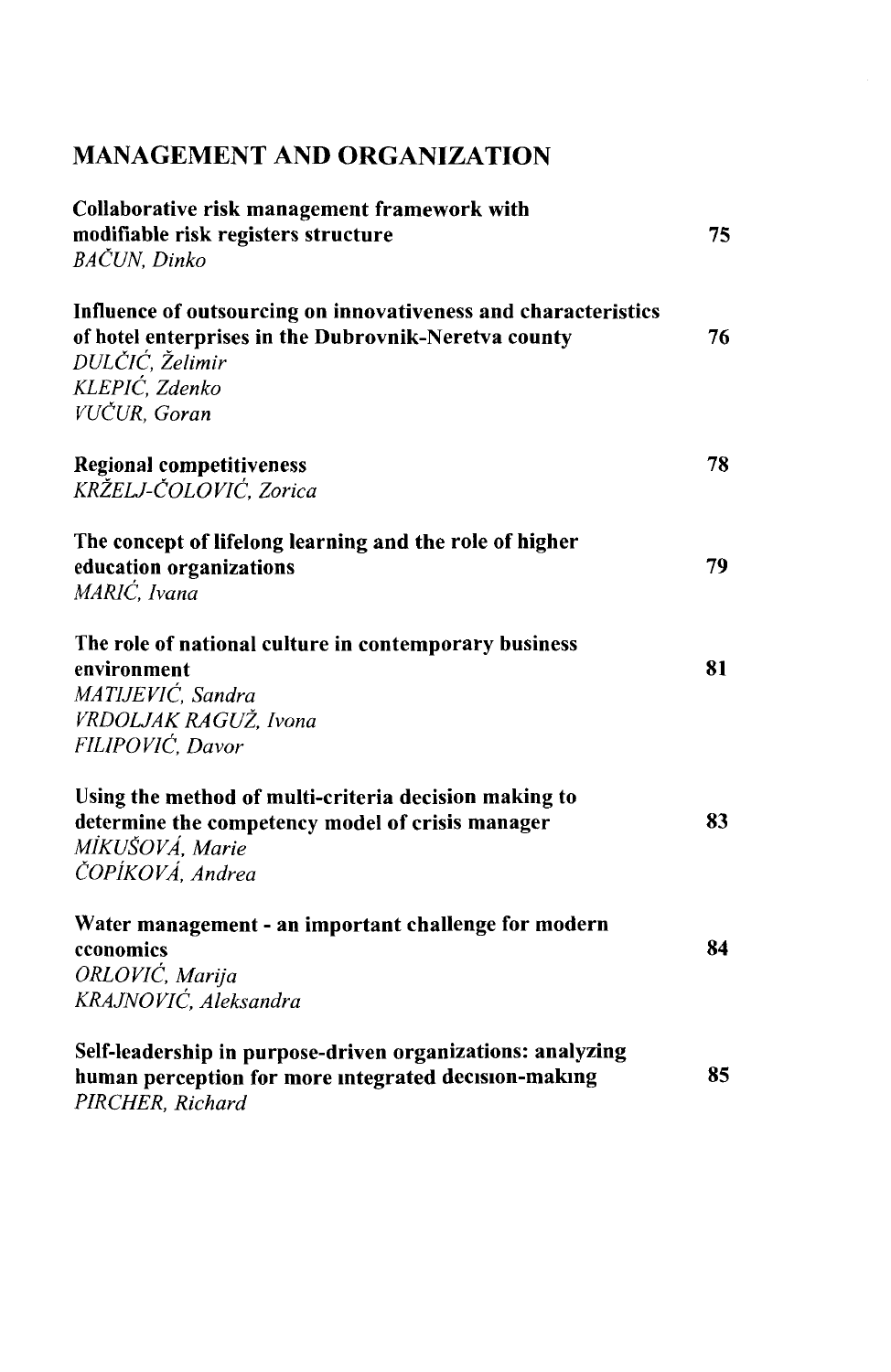## MANAGEMENT AND ORGANIZATION

| Collaborative risk management framework with<br>modifiable risk registers structure<br><b>BAČUN</b> , Dinko                                                                 | 75. |
|-----------------------------------------------------------------------------------------------------------------------------------------------------------------------------|-----|
| Influence of outsourcing on innovativeness and characteristics<br>of hotel enterprises in the Dubrovnik-Neretva county<br>DULČIĆ, Želimir<br>KLEPIĆ, Zdenko<br>VUČUR, Goran | 76  |
| <b>Regional competitiveness</b><br>KRŽELJ-ČOLOVIĆ, Zorica                                                                                                                   | 78  |
| The concept of lifelong learning and the role of higher<br>education organizations<br>MARIĆ, Ivana                                                                          | 79  |
| The role of national culture in contemporary business<br>environment<br>MATIJEVIĆ, Sandra<br>VRDOLJAK RAGUŽ, Ivona<br>FILIPOVIĆ, Davor                                      | 81  |
| Using the method of multi-criteria decision making to<br>determine the competency model of crisis manager<br>MİKUŠOVÁ, Marie<br>ČOPÍKOVÁ, Andrea                            | 83  |
| Water management - an important challenge for modern<br>cconomics<br>ORLOVIĆ, Marija<br>KRAJNOVIĆ, Aleksandra                                                               | 84  |
| Self-leadership in purpose-driven organizations: analyzing<br>human perception for more integrated decision-making<br>PIRCHER, Richard                                      | 85  |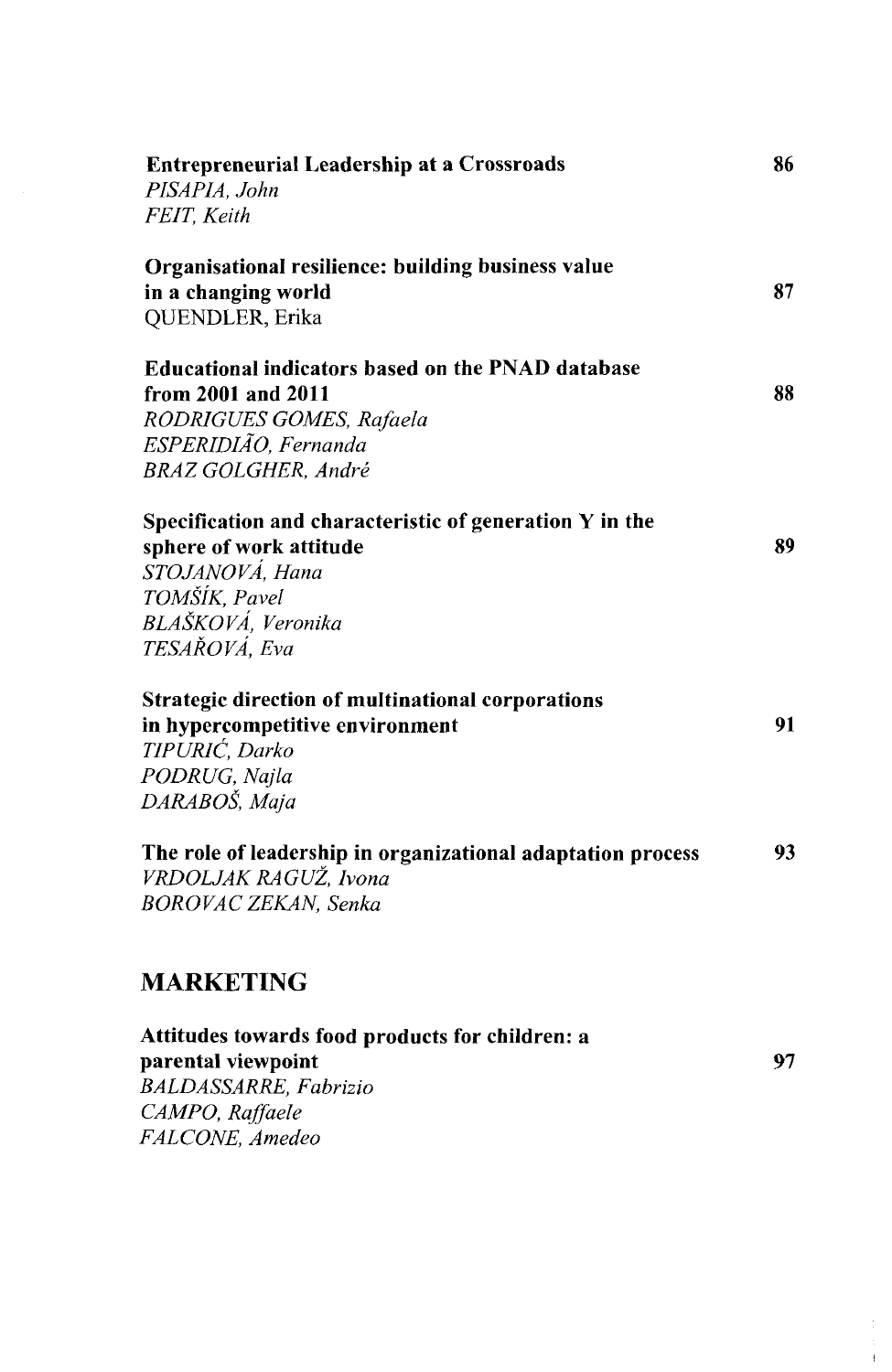| <b>Entrepreneurial Leadership at a Crossroads</b><br>PISAPIA, John<br>FEIT, Keith  | 86 |
|------------------------------------------------------------------------------------|----|
| Organisational resilience: building business value<br>in a changing world          | 87 |
| QUENDLER, Erika                                                                    |    |
| <b>Educational indicators based on the PNAD database</b>                           |    |
| from 2001 and 2011                                                                 | 88 |
| RODRIGUES GOMES, Rafaela                                                           |    |
| ESPERIDIÃO, Fernanda                                                               |    |
| <b>BRAZ GOLGHER</b> , André                                                        |    |
| Specification and characteristic of generation Y in the<br>sphere of work attitude | 89 |
| STOJANOVÁ, Hana                                                                    |    |
| TOMŠÍK, Pavel                                                                      |    |
| BLAŠKOVÁ, Veronika                                                                 |    |
| TESAŘOVÁ, Eva                                                                      |    |
| <b>Strategic direction of multinational corporations</b>                           |    |
| in hypercompetitive environment                                                    | 91 |
| TIPURIĆ, Darko                                                                     |    |
| PODRUG, Najla                                                                      |    |
| DARABOŠ, Maja                                                                      |    |
| The role of leadership in organizational adaptation process                        | 93 |
| VRDOLJAK RAGUŽ, Ivona                                                              |    |
| <b>BOROVAC ZEKAN, Senka</b>                                                        |    |
| <b>MARKETING</b>                                                                   |    |
| Attitudes towards food products for children: a<br>parental viewpoint              | 97 |

*BALDASSARRE, Fabrizio*  CAMPO, Raffaele *FALCONE, Amedeo* 

 $\bar{1}$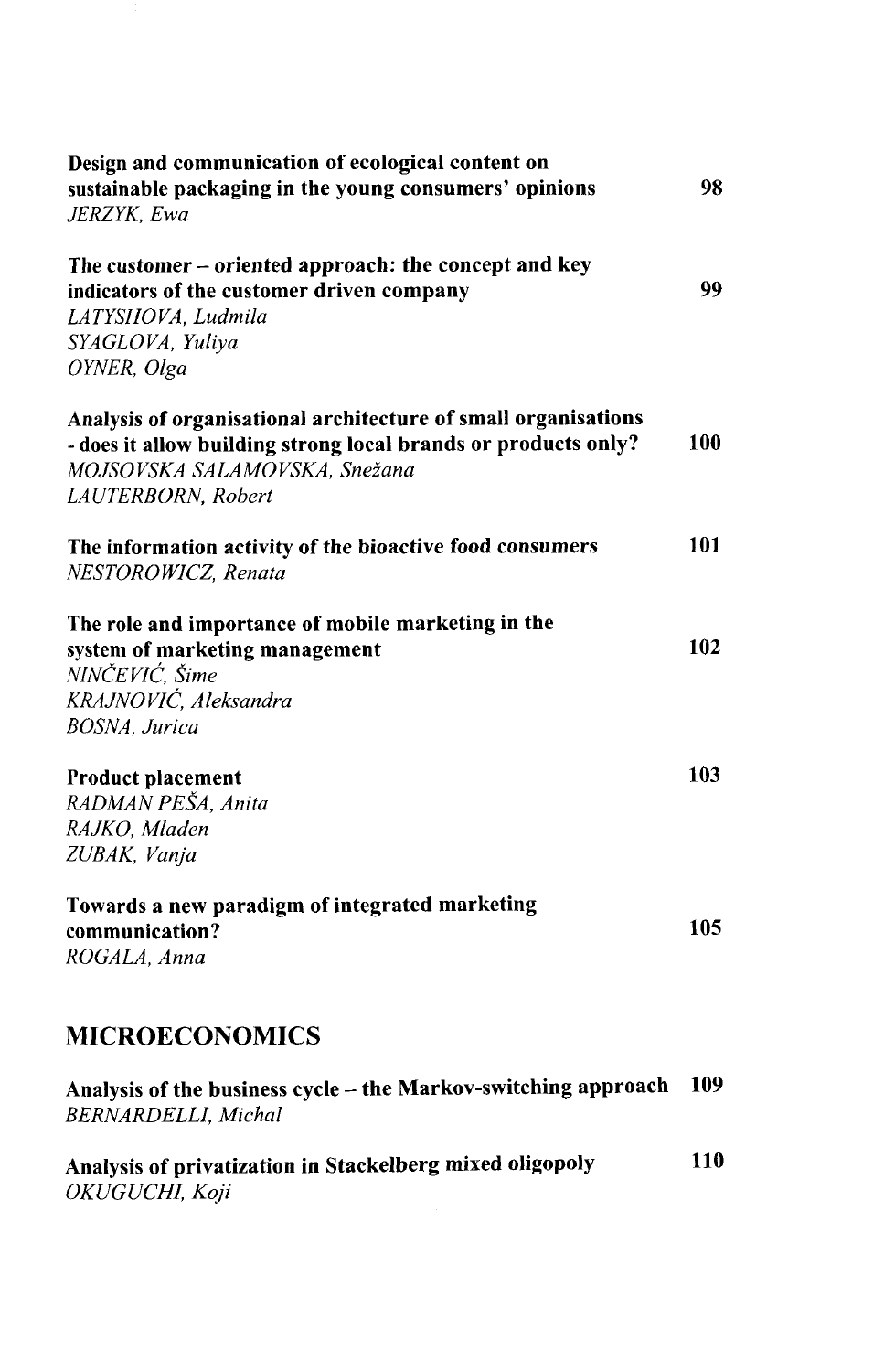| Design and communication of ecological content on<br>sustainable packaging in the young consumers' opinions<br>JERZYK, Ewa                                                              | 98  |
|-----------------------------------------------------------------------------------------------------------------------------------------------------------------------------------------|-----|
| The customer – oriented approach: the concept and key<br>indicators of the customer driven company<br>LATYSHOVA, Ludmila<br>SYAGLOVA, Yuliya<br>OYNER, Olga                             | 99  |
| Analysis of organisational architecture of small organisations<br>- does it allow building strong local brands or products only?<br>MOJSOVSKA SALAMOVSKA, Snežana<br>LAUTERBORN, Robert | 100 |
| The information activity of the bioactive food consumers<br>NESTOROWICZ, Renata                                                                                                         | 101 |
| The role and importance of mobile marketing in the<br>system of marketing management<br>NINČEVIĆ, Šime<br>KRAJNOVIĆ, Aleksandra<br><b>BOSNA</b> , Jurica                                | 102 |
| <b>Product placement</b><br>RADMAN PEŠA, Anita<br>RAJKO, Mladen<br>ZUBAK, Vanja                                                                                                         | 103 |
| Towards a new paradigm of integrated marketing<br>communication?<br>ROGALA, Anna                                                                                                        | 105 |
| <b>MICROECONOMICS</b>                                                                                                                                                                   |     |
| Analysis of the business cycle – the Markov-switching approach<br>BERNARDELLI, Michal                                                                                                   | 109 |
| Analysis of privatization in Stackelberg mixed oligopoly                                                                                                                                | 110 |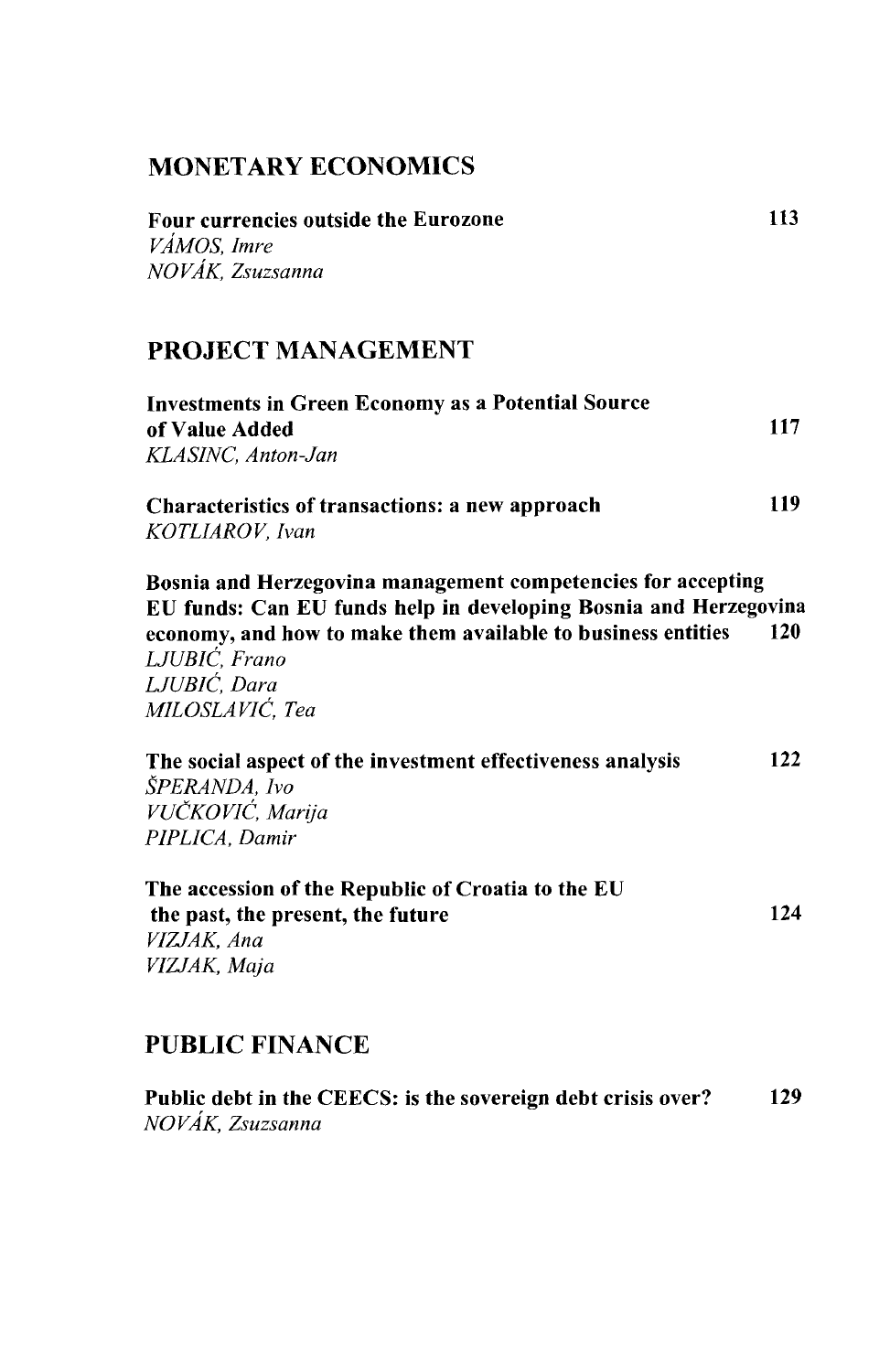#### MONETARY ECONOMICS

| <b>Four currencies outside the Eurozone</b> | 113 |
|---------------------------------------------|-----|
| VÁMOS, Imre                                 |     |
| NOVÁK, Zsuzsanna                            |     |

#### PROJECT MANAGEMENT

| <b>Investments in Green Economy as a Potential Source</b> |     |
|-----------------------------------------------------------|-----|
| of Value Added                                            | 117 |
| KLASINC, Anton-Jan                                        |     |
| Characteristics of transactions: a new approach           | 119 |
| KOTLIAROV, Ivan                                           |     |

Bosnia and Herzegovina management competencies for accepting EU funds: Can EU funds help in developing Bosnia and Herzegovina economy, and how to make them available to business entities 120 *LJUBIC, Frano LJUBIC, Dara* 

MILOSLAVIĆ, Tea

| The social aspect of the investment effectiveness analysis | 122 |
|------------------------------------------------------------|-----|
| ŠPERANDA, Ivo                                              |     |
| VUČKOVIĆ, Marija                                           |     |
| PIPLICA, Damir                                             |     |
|                                                            |     |

| The accession of the Republic of Croatia to the EU |     |
|----------------------------------------------------|-----|
| the past, the present, the future                  | 124 |
| VIZJAK. Ana                                        |     |
| VIZJAK, Maja                                       |     |

#### PUBLIC FINANCE

| Public debt in the CEECS: is the sovereign debt crisis over? | 129 |
|--------------------------------------------------------------|-----|
| NOVÁK, Zsuzsanna                                             |     |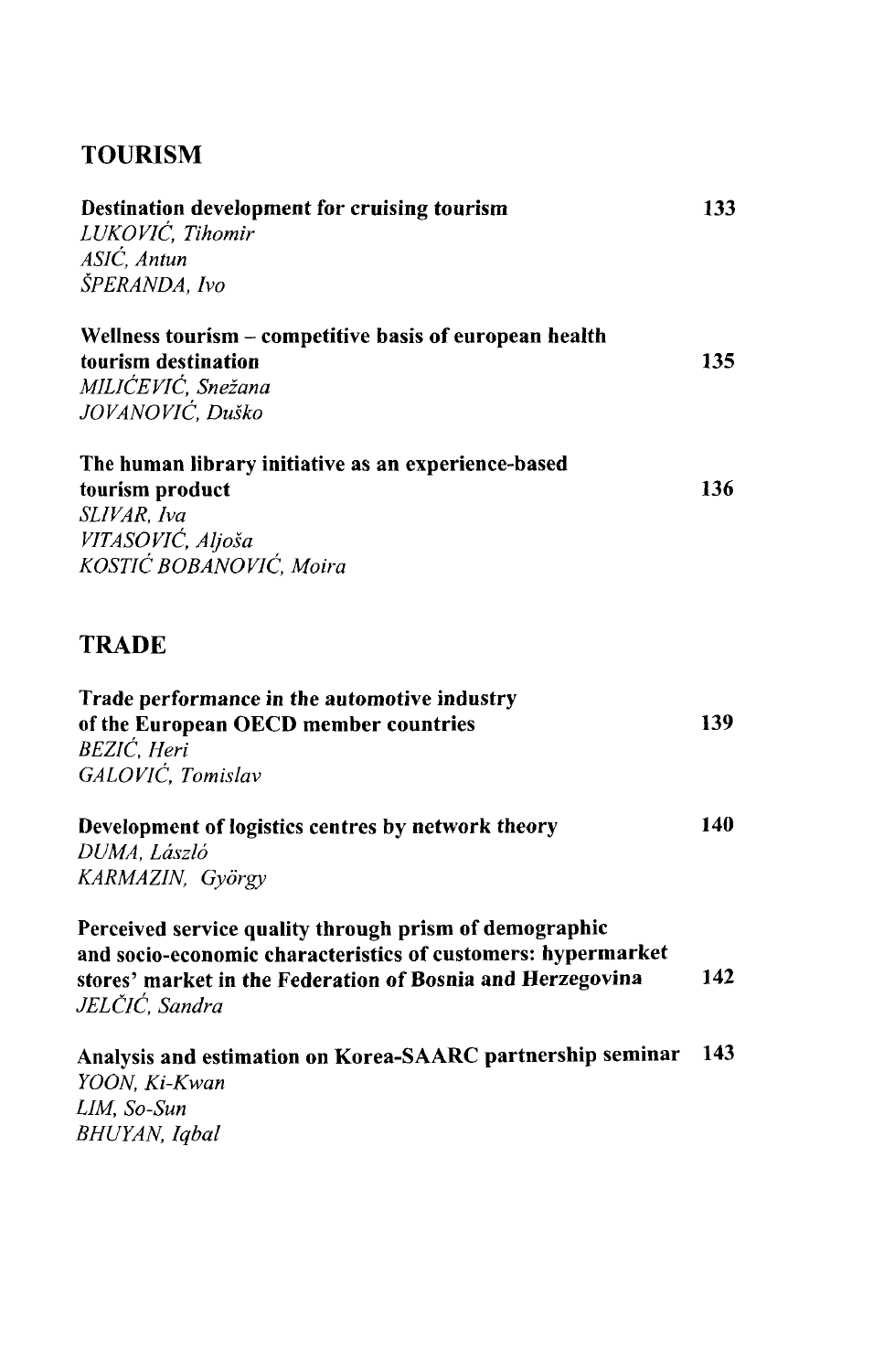## TOURISM

| Destination development for cruising tourism                                                                                                                                                           | 133 |
|--------------------------------------------------------------------------------------------------------------------------------------------------------------------------------------------------------|-----|
| LUKOVIĆ, Tihomir                                                                                                                                                                                       |     |
| ASIĆ, Antun                                                                                                                                                                                            |     |
| ŠPERANDA, Ivo                                                                                                                                                                                          |     |
| Wellness tourism - competitive basis of european health                                                                                                                                                |     |
| tourism destination                                                                                                                                                                                    | 135 |
| MILIĆEVIĆ, Snežana                                                                                                                                                                                     |     |
| JOVANOVIĆ, Duško                                                                                                                                                                                       |     |
| The human library initiative as an experience-based                                                                                                                                                    |     |
| tourism product                                                                                                                                                                                        | 136 |
| SLIVAR, Iva                                                                                                                                                                                            |     |
| VITASOVIĆ, Aljoša                                                                                                                                                                                      |     |
| KOSTIĆ BOBANOVIĆ, Moira                                                                                                                                                                                |     |
| <b>TRADE</b>                                                                                                                                                                                           |     |
| Trade performance in the automotive industry<br>of the European OECD member countries<br>BEZIĆ, Heri                                                                                                   | 139 |
| GALOVIĆ, Tomislav                                                                                                                                                                                      |     |
| Development of logistics centres by network theory<br>DUMA, László<br>KARMAZIN, György                                                                                                                 | 140 |
| Perceived service quality through prism of demographic<br>and socio-economic characteristics of customers: hypermarket<br>stores' market in the Federation of Bosnia and Herzegovina<br>JELČIĆ, Sandra | 142 |
| Analysis and estimation on Korea-SAARC partnership seminar<br>YOON, Ki-Kwan<br>LIM, So-Sun<br>BHUYAN, Iqbal                                                                                            | 143 |